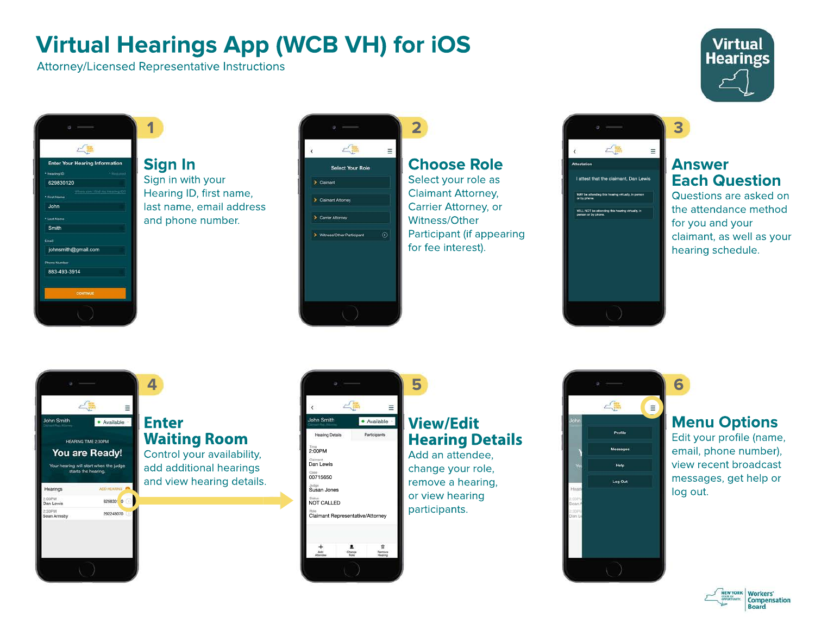# **Virtual Hearings App (WCB VH) for iOS**

Attorney/Licensed Representative Instructions

**1**



| <b>Enter Your Hearing Information</b> |                                 |
|---------------------------------------|---------------------------------|
|                                       |                                 |
| <b>Hearing ID</b>                     | * Remained                      |
| 629830120                             |                                 |
| <b>Irst Name</b>                      | When can't find my Heering (DT) |
| John                                  |                                 |
| Last Name                             |                                 |
| Smith                                 |                                 |
| Email                                 |                                 |
| johnsmith@gmail.com                   |                                 |
| <b>Phone Number</b>                   |                                 |
| 883-493-3914                          |                                 |
|                                       |                                 |
| <b>CONTINUE</b>                       |                                 |

# **Sign In**

Sign in with your Hearing ID, first name, last name, email address and phone number.



## **Choose Role**

**2**

**5**

Select your role as Claimant Attorney, Carrier Attorney, or Witness/Other Participant (if appearing for fee interest).



#### **Answer Each Question**

**3**

Questions are asked on the attendance method for you and your claimant, as well as your hearing schedule.



#### **Enter Waiting Room**

Control your availability, add additional hearings and view hearing details.



# **View/Edit Hearing Details**

change your role, remove a hearing, or view hearing



Add an attendee,



## **Menu Options**

Edit your profile (name, email, phone number), view recent broadcast messages, get help or log out.